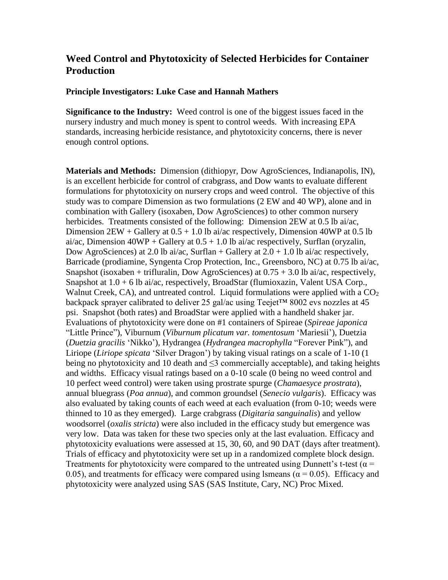## **Weed Control and Phytotoxicity of Selected Herbicides for Container Production**

## **Principle Investigators: Luke Case and Hannah Mathers**

**Significance to the Industry:** Weed control is one of the biggest issues faced in the nursery industry and much money is spent to control weeds. With increasing EPA standards, increasing herbicide resistance, and phytotoxicity concerns, there is never enough control options.

**Materials and Methods:** Dimension (dithiopyr, Dow AgroSciences, Indianapolis, IN), is an excellent herbicide for control of crabgrass, and Dow wants to evaluate different formulations for phytotoxicity on nursery crops and weed control. The objective of this study was to compare Dimension as two formulations (2 EW and 40 WP), alone and in combination with Gallery (isoxaben, Dow AgroSciences) to other common nursery herbicides. Treatments consisted of the following: Dimension 2EW at 0.5 lb ai/ac, Dimension  $2EW +$  Gallery at  $0.5 + 1.0$  lb ai/ac respectively, Dimension 40WP at 0.5 lb ai/ac, Dimension  $40WP +$  Gallery at  $0.5 + 1.0$  lb ai/ac respectively, Surflan (oryzalin, Dow AgroSciences) at 2.0 lb ai/ac, Surflan + Gallery at  $2.0 + 1.0$  lb ai/ac respectively, Barricade (prodiamine, Syngenta Crop Protection, Inc., Greensboro, NC) at 0.75 lb ai/ac, Snapshot (isoxaben + trifluralin, Dow AgroSciences) at  $0.75 + 3.0$  lb ai/ac, respectively, Snapshot at  $1.0 + 6$  lb ai/ac, respectively, BroadStar (flumioxazin, Valent USA Corp., Walnut Creek, CA), and untreated control. Liquid formulations were applied with a  $CO<sub>2</sub>$ backpack sprayer calibrated to deliver 25 gal/ac using Teejet™ 8002 evs nozzles at 45 psi. Snapshot (both rates) and BroadStar were applied with a handheld shaker jar. Evaluations of phytotoxicity were done on #1 containers of Spireae (*Spireae japonica* "Little Prince"), Viburnum (*Viburnum plicatum var. tomentosum* 'Mariesii'), Duetzia (*Duetzia gracilis* 'Nikko'), Hydrangea (*Hydrangea macrophylla* "Forever Pink"), and Liriope (*Liriope spicata* 'Silver Dragon') by taking visual ratings on a scale of 1-10 (1 being no phytotoxicity and 10 death and  $\leq$ 3 commercially acceptable), and taking heights and widths. Efficacy visual ratings based on a 0-10 scale (0 being no weed control and 10 perfect weed control) were taken using prostrate spurge (*Chamaesyce prostrata*), annual bluegrass (*Poa annua*), and common groundsel (*Senecio vulgaris*). Efficacy was also evaluated by taking counts of each weed at each evaluation (from 0-10; weeds were thinned to 10 as they emerged). Large crabgrass (*Digitaria sanguinalis*) and yellow woodsorrel (*oxalis stricta*) were also included in the efficacy study but emergence was very low. Data was taken for these two species only at the last evaluation. Efficacy and phytotoxicity evaluations were assessed at 15, 30, 60, and 90 DAT (days after treatment). Trials of efficacy and phytotoxicity were set up in a randomized complete block design. Treatments for phytotoxicity were compared to the untreated using Dunnett's t-test ( $\alpha$  = 0.05), and treatments for efficacy were compared using lsmeans ( $\alpha$  = 0.05). Efficacy and phytotoxicity were analyzed using SAS (SAS Institute, Cary, NC) Proc Mixed.